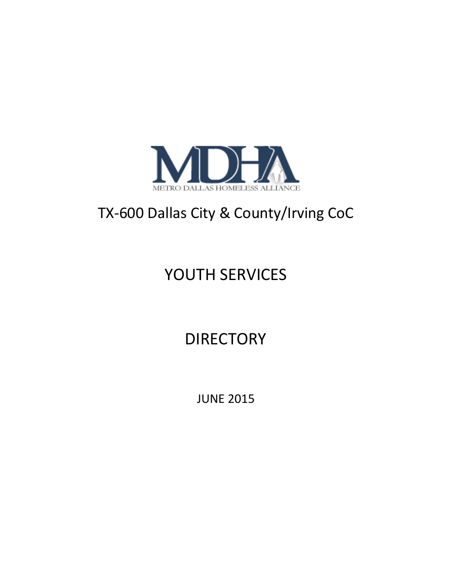

## TX-600 Dallas City & County/Irving CoC

# YOUTH SERVICES

## **DIRECTORY**

JUNE 2015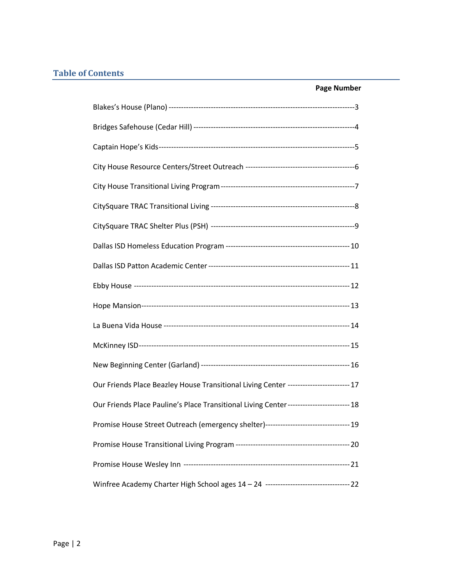## **Table of Contents**

|                                                                                         | <b>Page Number</b> |
|-----------------------------------------------------------------------------------------|--------------------|
|                                                                                         |                    |
|                                                                                         |                    |
|                                                                                         |                    |
|                                                                                         |                    |
|                                                                                         |                    |
|                                                                                         |                    |
|                                                                                         |                    |
|                                                                                         |                    |
|                                                                                         |                    |
|                                                                                         |                    |
|                                                                                         |                    |
|                                                                                         |                    |
|                                                                                         |                    |
|                                                                                         |                    |
| Our Friends Place Beazley House Transitional Living Center ------------------------ 17  |                    |
| Our Friends Place Pauline's Place Transitional Living Center------------------------ 18 |                    |
| Promise House Street Outreach (emergency shelter)----------------------------------- 19 |                    |
|                                                                                         |                    |
|                                                                                         |                    |
|                                                                                         |                    |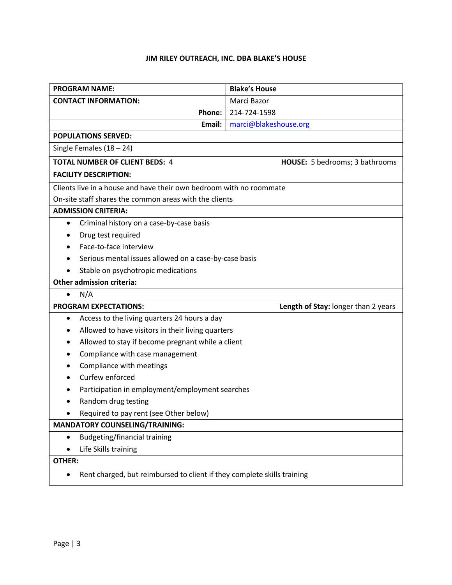## **JIM RILEY OUTREACH, INC. DBA BLAKE'S HOUSE**

| <b>PROGRAM NAME:</b>                                                                 | <b>Blake's House</b>                |  |
|--------------------------------------------------------------------------------------|-------------------------------------|--|
| <b>CONTACT INFORMATION:</b>                                                          | Marci Bazor                         |  |
| Phone:                                                                               | 214-724-1598                        |  |
| Email:                                                                               | marci@blakeshouse.org               |  |
| <b>POPULATIONS SERVED:</b>                                                           |                                     |  |
| Single Females $(18 – 24)$                                                           |                                     |  |
| <b>TOTAL NUMBER OF CLIENT BEDS: 4</b><br>HOUSE: 5 bedrooms; 3 bathrooms              |                                     |  |
| <b>FACILITY DESCRIPTION:</b>                                                         |                                     |  |
| Clients live in a house and have their own bedroom with no roommate                  |                                     |  |
| On-site staff shares the common areas with the clients                               |                                     |  |
| <b>ADMISSION CRITERIA:</b>                                                           |                                     |  |
| Criminal history on a case-by-case basis<br>$\bullet$                                |                                     |  |
| Drug test required                                                                   |                                     |  |
| Face-to-face interview                                                               |                                     |  |
| Serious mental issues allowed on a case-by-case basis                                |                                     |  |
| Stable on psychotropic medications                                                   |                                     |  |
| <b>Other admission criteria:</b>                                                     |                                     |  |
| N/A<br>$\bullet$                                                                     |                                     |  |
| <b>PROGRAM EXPECTATIONS:</b>                                                         | Length of Stay: longer than 2 years |  |
| Access to the living quarters 24 hours a day<br>$\bullet$                            |                                     |  |
| Allowed to have visitors in their living quarters                                    |                                     |  |
| Allowed to stay if become pregnant while a client                                    |                                     |  |
| Compliance with case management                                                      |                                     |  |
| Compliance with meetings                                                             |                                     |  |
| Curfew enforced                                                                      |                                     |  |
| Participation in employment/employment searches                                      |                                     |  |
| Random drug testing                                                                  |                                     |  |
| Required to pay rent (see Other below)                                               |                                     |  |
| <b>MANDATORY COUNSELING/TRAINING:</b>                                                |                                     |  |
| <b>Budgeting/financial training</b><br>$\bullet$                                     |                                     |  |
| Life Skills training<br>$\bullet$                                                    |                                     |  |
| <b>OTHER:</b>                                                                        |                                     |  |
| Rent charged, but reimbursed to client if they complete skills training<br>$\bullet$ |                                     |  |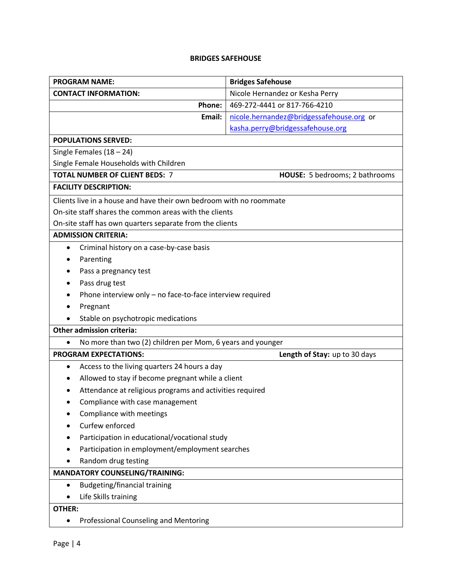#### **BRIDGES SAFEHOUSE**

| <b>PROGRAM NAME:</b>                                                    | <b>Bridges Safehouse</b>                 |  |
|-------------------------------------------------------------------------|------------------------------------------|--|
| <b>CONTACT INFORMATION:</b>                                             | Nicole Hernandez or Kesha Perry          |  |
| Phone:                                                                  | 469-272-4441 or 817-766-4210             |  |
| Email:                                                                  | nicole.hernandez@bridgessafehouse.org or |  |
|                                                                         | kasha.perry@bridgessafehouse.org         |  |
| <b>POPULATIONS SERVED:</b>                                              |                                          |  |
| Single Females $(18 - 24)$                                              |                                          |  |
| Single Female Households with Children                                  |                                          |  |
| <b>TOTAL NUMBER OF CLIENT BEDS: 7</b><br>HOUSE: 5 bedrooms; 2 bathrooms |                                          |  |
| <b>FACILITY DESCRIPTION:</b>                                            |                                          |  |
| Clients live in a house and have their own bedroom with no roommate     |                                          |  |
| On-site staff shares the common areas with the clients                  |                                          |  |
| On-site staff has own quarters separate from the clients                |                                          |  |
| <b>ADMISSION CRITERIA:</b>                                              |                                          |  |
| Criminal history on a case-by-case basis<br>$\bullet$                   |                                          |  |
| Parenting                                                               |                                          |  |
| Pass a pregnancy test                                                   |                                          |  |
| Pass drug test                                                          |                                          |  |
| Phone interview only - no face-to-face interview required               |                                          |  |
| Pregnant                                                                |                                          |  |
| Stable on psychotropic medications                                      |                                          |  |
| <b>Other admission criteria:</b>                                        |                                          |  |
| No more than two (2) children per Mom, 6 years and younger<br>$\bullet$ |                                          |  |
| <b>PROGRAM EXPECTATIONS:</b>                                            | Length of Stay: up to 30 days            |  |
| Access to the living quarters 24 hours a day<br>٠                       |                                          |  |
| Allowed to stay if become pregnant while a client                       |                                          |  |
| Attendance at religious programs and activities required                |                                          |  |
| Compliance with case management                                         |                                          |  |
| Compliance with meetings                                                |                                          |  |
|                                                                         | Curfew enforced                          |  |
| Participation in educational/vocational study                           |                                          |  |
| Participation in employment/employment searches                         |                                          |  |
| Random drug testing                                                     |                                          |  |
| <b>MANDATORY COUNSELING/TRAINING:</b>                                   |                                          |  |
| <b>Budgeting/financial training</b><br>$\bullet$                        |                                          |  |
| Life Skills training                                                    |                                          |  |
| OTHER:                                                                  |                                          |  |
| <b>Professional Counseling and Mentoring</b><br>$\bullet$               |                                          |  |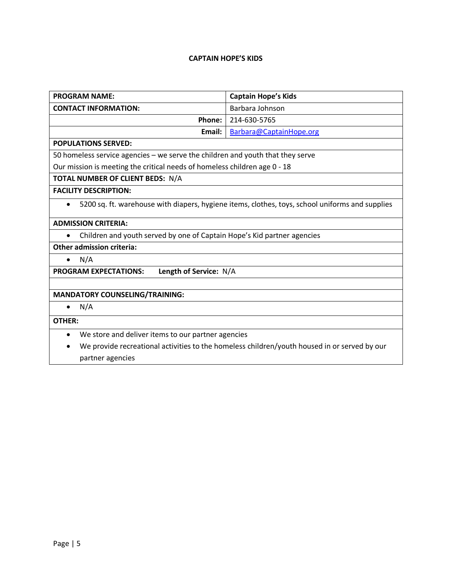## **CAPTAIN HOPE'S KIDS**

| <b>PROGRAM NAME:</b>                                                                                             | <b>Captain Hope's Kids</b> |  |
|------------------------------------------------------------------------------------------------------------------|----------------------------|--|
| <b>CONTACT INFORMATION:</b>                                                                                      | Barbara Johnson            |  |
| Phone:                                                                                                           | 214-630-5765               |  |
| Email:                                                                                                           | Barbara@CaptainHope.org    |  |
| <b>POPULATIONS SERVED:</b>                                                                                       |                            |  |
| 50 homeless service agencies – we serve the children and youth that they serve                                   |                            |  |
| Our mission is meeting the critical needs of homeless children age 0 - 18                                        |                            |  |
| TOTAL NUMBER OF CLIENT BEDS: N/A                                                                                 |                            |  |
| <b>FACILITY DESCRIPTION:</b>                                                                                     |                            |  |
| 5200 sq. ft. warehouse with diapers, hygiene items, clothes, toys, school uniforms and supplies<br>$\bullet$     |                            |  |
| <b>ADMISSION CRITERIA:</b>                                                                                       |                            |  |
| Children and youth served by one of Captain Hope's Kid partner agencies                                          |                            |  |
| <b>Other admission criteria:</b>                                                                                 |                            |  |
| N/A<br>$\bullet$                                                                                                 |                            |  |
| <b>PROGRAM EXPECTATIONS:</b><br>Length of Service: N/A                                                           |                            |  |
|                                                                                                                  |                            |  |
| <b>MANDATORY COUNSELING/TRAINING:</b>                                                                            |                            |  |
| N/A<br>$\bullet$                                                                                                 |                            |  |
| <b>OTHER:</b>                                                                                                    |                            |  |
| We store and deliver items to our partner agencies<br>$\bullet$                                                  |                            |  |
| We provide recreational activities to the homeless children/youth housed in or served by our<br>partner agencies |                            |  |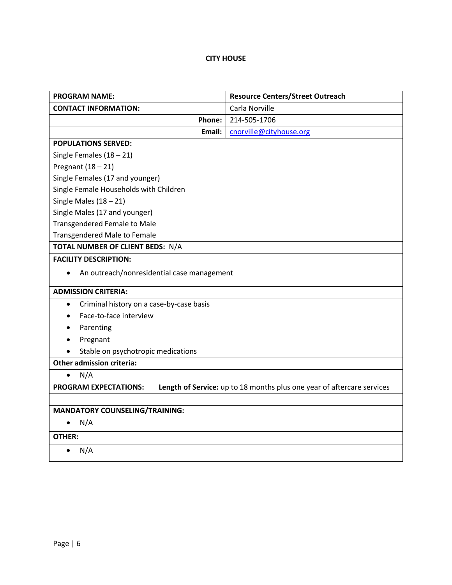## **CITY HOUSE**

| <b>PROGRAM NAME:</b>                                    | <b>Resource Centers/Street Outreach</b>                                |  |
|---------------------------------------------------------|------------------------------------------------------------------------|--|
| <b>CONTACT INFORMATION:</b>                             | Carla Norville                                                         |  |
| Phone:                                                  | 214-505-1706                                                           |  |
| Email:                                                  | cnorville@cityhouse.org                                                |  |
| <b>POPULATIONS SERVED:</b>                              |                                                                        |  |
| Single Females $(18 - 21)$                              |                                                                        |  |
| Pregnant $(18 - 21)$                                    |                                                                        |  |
| Single Females (17 and younger)                         |                                                                        |  |
| Single Female Households with Children                  |                                                                        |  |
| Single Males $(18 - 21)$                                |                                                                        |  |
| Single Males (17 and younger)                           |                                                                        |  |
| <b>Transgendered Female to Male</b>                     |                                                                        |  |
| <b>Transgendered Male to Female</b>                     |                                                                        |  |
| TOTAL NUMBER OF CLIENT BEDS: N/A                        |                                                                        |  |
| <b>FACILITY DESCRIPTION:</b>                            |                                                                        |  |
| An outreach/nonresidential case management<br>$\bullet$ |                                                                        |  |
| <b>ADMISSION CRITERIA:</b>                              |                                                                        |  |
| Criminal history on a case-by-case basis<br>$\bullet$   |                                                                        |  |
| Face-to-face interview                                  |                                                                        |  |
| Parenting                                               |                                                                        |  |
| Pregnant                                                |                                                                        |  |
| Stable on psychotropic medications                      |                                                                        |  |
| <b>Other admission criteria:</b>                        |                                                                        |  |
| N/A<br>$\bullet$                                        |                                                                        |  |
| <b>PROGRAM EXPECTATIONS:</b>                            | Length of Service: up to 18 months plus one year of aftercare services |  |
|                                                         |                                                                        |  |
| <b>MANDATORY COUNSELING/TRAINING:</b>                   |                                                                        |  |
| N/A<br>$\bullet$                                        |                                                                        |  |
| <b>OTHER:</b>                                           |                                                                        |  |
| N/A<br>$\bullet$                                        |                                                                        |  |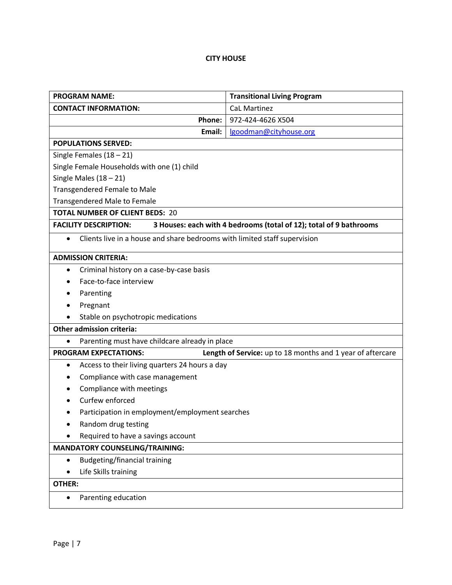## **CITY HOUSE**

| <b>PROGRAM NAME:</b>                                                                               | <b>Transitional Living Program</b>                         |  |
|----------------------------------------------------------------------------------------------------|------------------------------------------------------------|--|
| <b>CONTACT INFORMATION:</b>                                                                        | <b>CaL Martinez</b>                                        |  |
| Phone:                                                                                             | 972-424-4626 X504                                          |  |
| Email:                                                                                             | lgoodman@cityhouse.org                                     |  |
| <b>POPULATIONS SERVED:</b>                                                                         |                                                            |  |
| Single Females $(18 - 21)$                                                                         |                                                            |  |
| Single Female Households with one (1) child                                                        |                                                            |  |
| Single Males $(18 - 21)$                                                                           |                                                            |  |
| <b>Transgendered Female to Male</b>                                                                |                                                            |  |
| <b>Transgendered Male to Female</b>                                                                |                                                            |  |
| <b>TOTAL NUMBER OF CLIENT BEDS: 20</b>                                                             |                                                            |  |
| 3 Houses: each with 4 bedrooms (total of 12); total of 9 bathrooms<br><b>FACILITY DESCRIPTION:</b> |                                                            |  |
| Clients live in a house and share bedrooms with limited staff supervision<br>$\bullet$             |                                                            |  |
| <b>ADMISSION CRITERIA:</b>                                                                         |                                                            |  |
| Criminal history on a case-by-case basis<br>٠                                                      |                                                            |  |
| Face-to-face interview                                                                             |                                                            |  |
| Parenting                                                                                          |                                                            |  |
| Pregnant                                                                                           |                                                            |  |
| Stable on psychotropic medications                                                                 |                                                            |  |
| <b>Other admission criteria:</b>                                                                   |                                                            |  |
| Parenting must have childcare already in place<br>$\bullet$                                        |                                                            |  |
| <b>PROGRAM EXPECTATIONS:</b>                                                                       | Length of Service: up to 18 months and 1 year of aftercare |  |
| Access to their living quarters 24 hours a day<br>$\bullet$                                        |                                                            |  |
| Compliance with case management                                                                    |                                                            |  |
| Compliance with meetings                                                                           |                                                            |  |
| Curfew enforced                                                                                    |                                                            |  |
| Participation in employment/employment searches                                                    |                                                            |  |
| Random drug testing                                                                                |                                                            |  |
| Required to have a savings account                                                                 |                                                            |  |
| <b>MANDATORY COUNSELING/TRAINING:</b>                                                              |                                                            |  |
| <b>Budgeting/financial training</b><br>$\bullet$                                                   |                                                            |  |
| Life Skills training                                                                               |                                                            |  |
| <b>OTHER:</b>                                                                                      |                                                            |  |
| Parenting education<br>$\bullet$                                                                   |                                                            |  |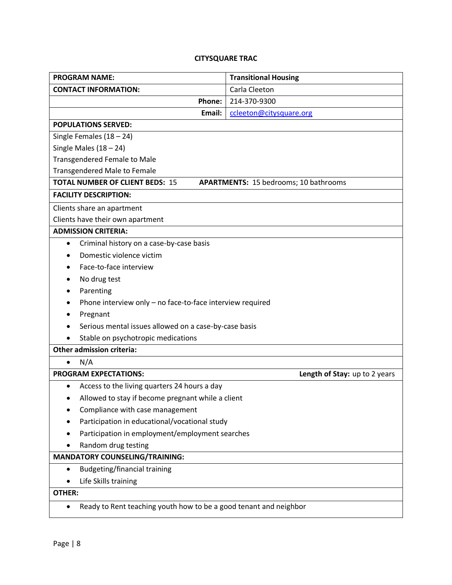## **CITYSQUARE TRAC**

| <b>PROGRAM NAME:</b>                                                   | <b>Transitional Housing</b>                  |  |
|------------------------------------------------------------------------|----------------------------------------------|--|
| <b>CONTACT INFORMATION:</b>                                            | Carla Cleeton                                |  |
| Phone:                                                                 | 214-370-9300                                 |  |
| Email:                                                                 | ccleeton@citysquare.org                      |  |
| <b>POPULATIONS SERVED:</b>                                             |                                              |  |
| Single Females $(18 - 24)$                                             |                                              |  |
| Single Males $(18 - 24)$                                               |                                              |  |
| <b>Transgendered Female to Male</b>                                    |                                              |  |
| <b>Transgendered Male to Female</b>                                    |                                              |  |
| <b>TOTAL NUMBER OF CLIENT BEDS: 15</b>                                 | <b>APARTMENTS: 15 bedrooms; 10 bathrooms</b> |  |
| <b>FACILITY DESCRIPTION:</b>                                           |                                              |  |
| Clients share an apartment                                             |                                              |  |
| Clients have their own apartment                                       |                                              |  |
| <b>ADMISSION CRITERIA:</b>                                             |                                              |  |
| Criminal history on a case-by-case basis<br>$\bullet$                  |                                              |  |
| Domestic violence victim                                               |                                              |  |
| Face-to-face interview                                                 |                                              |  |
| No drug test                                                           |                                              |  |
| Parenting                                                              |                                              |  |
| Phone interview only - no face-to-face interview required              |                                              |  |
| Pregnant                                                               |                                              |  |
| Serious mental issues allowed on a case-by-case basis                  |                                              |  |
| Stable on psychotropic medications                                     |                                              |  |
| <b>Other admission criteria:</b>                                       |                                              |  |
| N/A<br>$\bullet$                                                       |                                              |  |
| <b>PROGRAM EXPECTATIONS:</b>                                           | Length of Stay: up to 2 years                |  |
| Access to the living quarters 24 hours a day<br>$\bullet$              |                                              |  |
| Allowed to stay if become pregnant while a client                      |                                              |  |
| Compliance with case management                                        |                                              |  |
| Participation in educational/vocational study                          |                                              |  |
| Participation in employment/employment searches                        |                                              |  |
| Random drug testing                                                    |                                              |  |
| <b>MANDATORY COUNSELING/TRAINING:</b>                                  |                                              |  |
| <b>Budgeting/financial training</b><br>$\bullet$                       |                                              |  |
| Life Skills training                                                   |                                              |  |
| OTHER:                                                                 |                                              |  |
| Ready to Rent teaching youth how to be a good tenant and neighbor<br>٠ |                                              |  |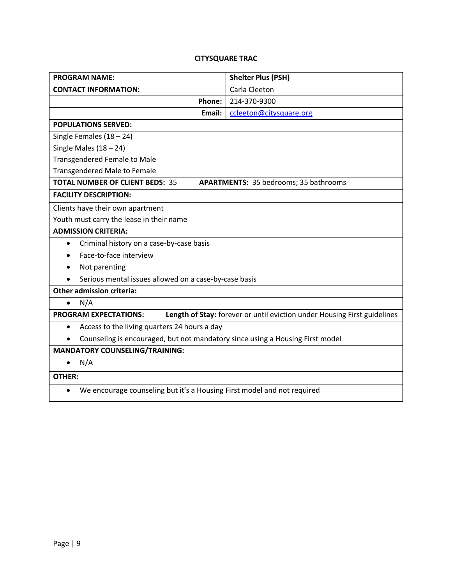## **CITYSQUARE TRAC**

| <b>PROGRAM NAME:</b>                                                                                     | <b>Shelter Plus (PSH)</b> |  |  |
|----------------------------------------------------------------------------------------------------------|---------------------------|--|--|
| <b>CONTACT INFORMATION:</b>                                                                              | Carla Cleeton             |  |  |
| Phone:                                                                                                   | 214-370-9300              |  |  |
| Email:                                                                                                   | ccleeton@citysquare.org   |  |  |
| <b>POPULATIONS SERVED:</b>                                                                               |                           |  |  |
| Single Females $(18 - 24)$                                                                               |                           |  |  |
| Single Males $(18 - 24)$                                                                                 |                           |  |  |
| <b>Transgendered Female to Male</b>                                                                      |                           |  |  |
| <b>Transgendered Male to Female</b>                                                                      |                           |  |  |
| <b>TOTAL NUMBER OF CLIENT BEDS: 35</b><br><b>APARTMENTS: 35 bedrooms; 35 bathrooms</b>                   |                           |  |  |
| <b>FACILITY DESCRIPTION:</b>                                                                             |                           |  |  |
| Clients have their own apartment                                                                         |                           |  |  |
| Youth must carry the lease in their name                                                                 |                           |  |  |
| <b>ADMISSION CRITERIA:</b>                                                                               |                           |  |  |
| Criminal history on a case-by-case basis<br>$\bullet$                                                    |                           |  |  |
| Face-to-face interview                                                                                   |                           |  |  |
| Not parenting                                                                                            |                           |  |  |
| Serious mental issues allowed on a case-by-case basis                                                    |                           |  |  |
| <b>Other admission criteria:</b>                                                                         |                           |  |  |
| N/A<br>$\bullet$                                                                                         |                           |  |  |
| Length of Stay: forever or until eviction under Housing First guidelines<br><b>PROGRAM EXPECTATIONS:</b> |                           |  |  |
| Access to the living quarters 24 hours a day<br>$\bullet$                                                |                           |  |  |
| Counseling is encouraged, but not mandatory since using a Housing First model<br>٠                       |                           |  |  |
| <b>MANDATORY COUNSELING/TRAINING:</b>                                                                    |                           |  |  |
| N/A<br>$\bullet$                                                                                         |                           |  |  |
| <b>OTHER:</b>                                                                                            |                           |  |  |
| We encourage counseling but it's a Housing First model and not required<br>$\bullet$                     |                           |  |  |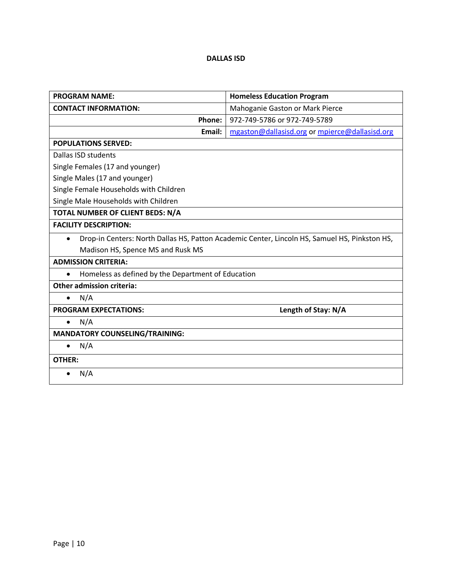### **DALLAS ISD**

| <b>PROGRAM NAME:</b>                                                                                       | <b>Homeless Education Program</b>              |  |
|------------------------------------------------------------------------------------------------------------|------------------------------------------------|--|
| <b>CONTACT INFORMATION:</b>                                                                                | Mahoganie Gaston or Mark Pierce                |  |
| Phone:                                                                                                     | 972-749-5786 or 972-749-5789                   |  |
| Email:                                                                                                     | mgaston@dallasisd.org or mpierce@dallasisd.org |  |
| <b>POPULATIONS SERVED:</b>                                                                                 |                                                |  |
| Dallas ISD students                                                                                        |                                                |  |
| Single Females (17 and younger)                                                                            |                                                |  |
| Single Males (17 and younger)                                                                              |                                                |  |
| Single Female Households with Children                                                                     |                                                |  |
| Single Male Households with Children                                                                       |                                                |  |
| TOTAL NUMBER OF CLIENT BEDS: N/A                                                                           |                                                |  |
| <b>FACILITY DESCRIPTION:</b>                                                                               |                                                |  |
| Drop-in Centers: North Dallas HS, Patton Academic Center, Lincoln HS, Samuel HS, Pinkston HS,<br>$\bullet$ |                                                |  |
| Madison HS, Spence MS and Rusk MS                                                                          |                                                |  |
| <b>ADMISSION CRITERIA:</b>                                                                                 |                                                |  |
| Homeless as defined by the Department of Education<br>$\bullet$                                            |                                                |  |
| <b>Other admission criteria:</b>                                                                           |                                                |  |
| N/A<br>$\bullet$                                                                                           |                                                |  |
| <b>PROGRAM EXPECTATIONS:</b>                                                                               | Length of Stay: N/A                            |  |
| N/A<br>$\bullet$                                                                                           |                                                |  |
| <b>MANDATORY COUNSELING/TRAINING:</b>                                                                      |                                                |  |
| N/A<br>$\bullet$                                                                                           |                                                |  |
| <b>OTHER:</b>                                                                                              |                                                |  |
| N/A<br>$\bullet$                                                                                           |                                                |  |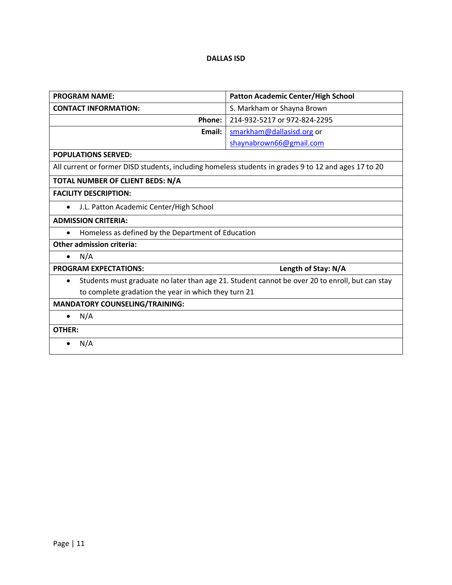### **DALLAS ISD**

| <b>PROGRAM NAME:</b>                                                                                 | Patton Academic Center/High School                                                             |  |
|------------------------------------------------------------------------------------------------------|------------------------------------------------------------------------------------------------|--|
| <b>CONTACT INFORMATION:</b>                                                                          | S. Markham or Shayna Brown                                                                     |  |
| Phone:                                                                                               | 214-932-5217 or 972-824-2295                                                                   |  |
| Email:                                                                                               | smarkham@dallasisd.org or                                                                      |  |
|                                                                                                      | shaynabrown66@gmail.com                                                                        |  |
| <b>POPULATIONS SERVED:</b>                                                                           |                                                                                                |  |
| All current or former DISD students, including homeless students in grades 9 to 12 and ages 17 to 20 |                                                                                                |  |
| TOTAL NUMBER OF CLIENT BEDS: N/A                                                                     |                                                                                                |  |
| <b>FACILITY DESCRIPTION:</b>                                                                         |                                                                                                |  |
| J.L. Patton Academic Center/High School<br>$\bullet$                                                 |                                                                                                |  |
| <b>ADMISSION CRITERIA:</b>                                                                           |                                                                                                |  |
| Homeless as defined by the Department of Education<br>$\bullet$                                      |                                                                                                |  |
| <b>Other admission criteria:</b>                                                                     |                                                                                                |  |
| N/A<br>$\bullet$                                                                                     |                                                                                                |  |
| <b>PROGRAM EXPECTATIONS:</b>                                                                         | Length of Stay: N/A                                                                            |  |
| $\bullet$                                                                                            | Students must graduate no later than age 21. Student cannot be over 20 to enroll, but can stay |  |
| to complete gradation the year in which they turn 21                                                 |                                                                                                |  |
| <b>MANDATORY COUNSELING/TRAINING:</b>                                                                |                                                                                                |  |
| N/A                                                                                                  |                                                                                                |  |
| <b>OTHER:</b>                                                                                        |                                                                                                |  |
| N/A                                                                                                  |                                                                                                |  |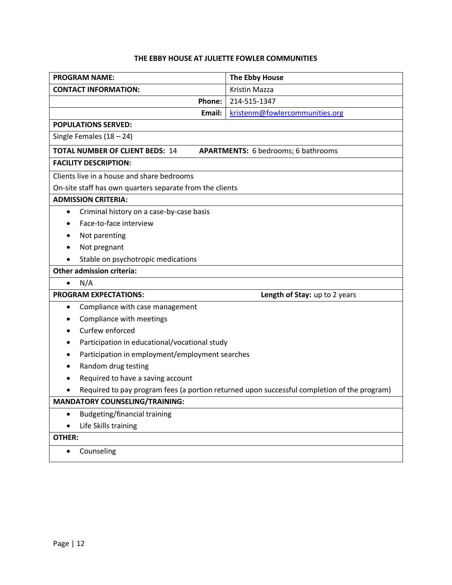## **THE EBBY HOUSE AT JULIETTE FOWLER COMMUNITIES**

| <b>PROGRAM NAME:</b>                                                                        | The Ebby House                 |  |
|---------------------------------------------------------------------------------------------|--------------------------------|--|
| <b>CONTACT INFORMATION:</b>                                                                 | Kristin Mazza                  |  |
| Phone:                                                                                      | 214-515-1347                   |  |
| Email:                                                                                      | kristenm@fowlercommunities.org |  |
| <b>POPULATIONS SERVED:</b>                                                                  |                                |  |
| Single Females $(18 - 24)$                                                                  |                                |  |
| <b>TOTAL NUMBER OF CLIENT BEDS: 14</b><br><b>APARTMENTS:</b> 6 bedrooms; 6 bathrooms        |                                |  |
| <b>FACILITY DESCRIPTION:</b>                                                                |                                |  |
| Clients live in a house and share bedrooms                                                  |                                |  |
| On-site staff has own quarters separate from the clients                                    |                                |  |
| <b>ADMISSION CRITERIA:</b>                                                                  |                                |  |
| Criminal history on a case-by-case basis<br>$\bullet$                                       |                                |  |
| Face-to-face interview                                                                      |                                |  |
| Not parenting                                                                               |                                |  |
| Not pregnant                                                                                |                                |  |
| Stable on psychotropic medications                                                          |                                |  |
| <b>Other admission criteria:</b>                                                            |                                |  |
| N/A<br>$\bullet$                                                                            |                                |  |
| <b>PROGRAM EXPECTATIONS:</b>                                                                | Length of Stay: up to 2 years  |  |
| Compliance with case management<br>٠                                                        |                                |  |
| Compliance with meetings                                                                    |                                |  |
| Curfew enforced                                                                             |                                |  |
| Participation in educational/vocational study                                               |                                |  |
| Participation in employment/employment searches                                             |                                |  |
| Random drug testing                                                                         |                                |  |
| Required to have a saving account                                                           |                                |  |
| Required to pay program fees (a portion returned upon successful completion of the program) |                                |  |
| <b>MANDATORY COUNSELING/TRAINING:</b>                                                       |                                |  |
| <b>Budgeting/financial training</b><br>$\bullet$                                            |                                |  |
| Life Skills training<br>$\bullet$                                                           |                                |  |
| OTHER:                                                                                      |                                |  |
| Counseling<br>$\bullet$                                                                     |                                |  |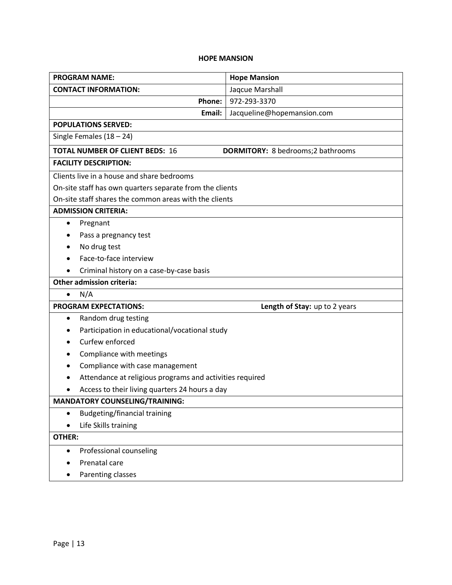## **HOPE MANSION**

| <b>PROGRAM NAME:</b>                                                                | <b>Hope Mansion</b>           |  |
|-------------------------------------------------------------------------------------|-------------------------------|--|
| <b>CONTACT INFORMATION:</b>                                                         | Jaqcue Marshall               |  |
| Phone:                                                                              | 972-293-3370                  |  |
| Email:                                                                              | Jacqueline@hopemansion.com    |  |
| <b>POPULATIONS SERVED:</b>                                                          |                               |  |
| Single Females $(18 - 24)$                                                          |                               |  |
| <b>TOTAL NUMBER OF CLIENT BEDS: 16</b><br><b>DORMITORY:</b> 8 bedrooms; 2 bathrooms |                               |  |
| <b>FACILITY DESCRIPTION:</b>                                                        |                               |  |
| Clients live in a house and share bedrooms                                          |                               |  |
| On-site staff has own quarters separate from the clients                            |                               |  |
| On-site staff shares the common areas with the clients                              |                               |  |
| <b>ADMISSION CRITERIA:</b>                                                          |                               |  |
| Pregnant<br>$\bullet$                                                               |                               |  |
| Pass a pregnancy test                                                               |                               |  |
| No drug test                                                                        |                               |  |
| Face-to-face interview                                                              |                               |  |
| Criminal history on a case-by-case basis                                            |                               |  |
| <b>Other admission criteria:</b>                                                    |                               |  |
| N/A<br>$\bullet$                                                                    |                               |  |
| <b>PROGRAM EXPECTATIONS:</b>                                                        | Length of Stay: up to 2 years |  |
| Random drug testing<br>$\bullet$                                                    |                               |  |
| Participation in educational/vocational study                                       |                               |  |
| Curfew enforced                                                                     |                               |  |
| Compliance with meetings                                                            |                               |  |
| Compliance with case management                                                     |                               |  |
| Attendance at religious programs and activities required                            |                               |  |
| Access to their living quarters 24 hours a day                                      |                               |  |
| <b>MANDATORY COUNSELING/TRAINING:</b>                                               |                               |  |
| <b>Budgeting/financial training</b><br>$\bullet$                                    |                               |  |
| Life Skills training                                                                |                               |  |
| <b>OTHER:</b>                                                                       |                               |  |
| Professional counseling<br>$\bullet$                                                |                               |  |
| Prenatal care                                                                       |                               |  |
| Parenting classes                                                                   |                               |  |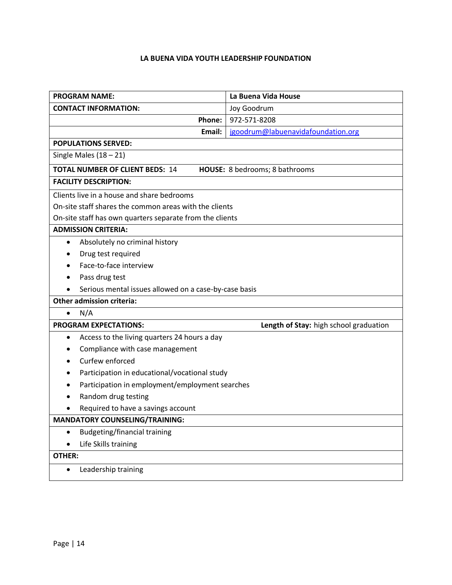## **LA BUENA VIDA YOUTH LEADERSHIP FOUNDATION**

| <b>PROGRAM NAME:</b>                                                     | La Buena Vida House                           |  |
|--------------------------------------------------------------------------|-----------------------------------------------|--|
| <b>CONTACT INFORMATION:</b>                                              | Joy Goodrum                                   |  |
| Phone:                                                                   | 972-571-8208                                  |  |
| Email:                                                                   | jgoodrum@labuenavidafoundation.org            |  |
| <b>POPULATIONS SERVED:</b>                                               |                                               |  |
| Single Males $(18 - 21)$                                                 |                                               |  |
| <b>TOTAL NUMBER OF CLIENT BEDS: 14</b><br>HOUSE: 8 bedrooms; 8 bathrooms |                                               |  |
| <b>FACILITY DESCRIPTION:</b>                                             |                                               |  |
| Clients live in a house and share bedrooms                               |                                               |  |
| On-site staff shares the common areas with the clients                   |                                               |  |
| On-site staff has own quarters separate from the clients                 |                                               |  |
| <b>ADMISSION CRITERIA:</b>                                               |                                               |  |
| Absolutely no criminal history<br>٠                                      |                                               |  |
| Drug test required                                                       |                                               |  |
| Face-to-face interview                                                   |                                               |  |
| Pass drug test                                                           |                                               |  |
| Serious mental issues allowed on a case-by-case basis                    |                                               |  |
| <b>Other admission criteria:</b>                                         |                                               |  |
| N/A<br>$\bullet$                                                         |                                               |  |
| <b>PROGRAM EXPECTATIONS:</b>                                             | Length of Stay: high school graduation        |  |
| Access to the living quarters 24 hours a day<br>٠                        |                                               |  |
| Compliance with case management                                          |                                               |  |
| Curfew enforced                                                          |                                               |  |
|                                                                          | Participation in educational/vocational study |  |
| Participation in employment/employment searches                          |                                               |  |
| Random drug testing                                                      |                                               |  |
| Required to have a savings account                                       |                                               |  |
| <b>MANDATORY COUNSELING/TRAINING:</b>                                    |                                               |  |
| <b>Budgeting/financial training</b><br>$\bullet$                         |                                               |  |
| Life Skills training<br>$\bullet$                                        |                                               |  |
| OTHER:                                                                   |                                               |  |
| Leadership training<br>$\bullet$                                         |                                               |  |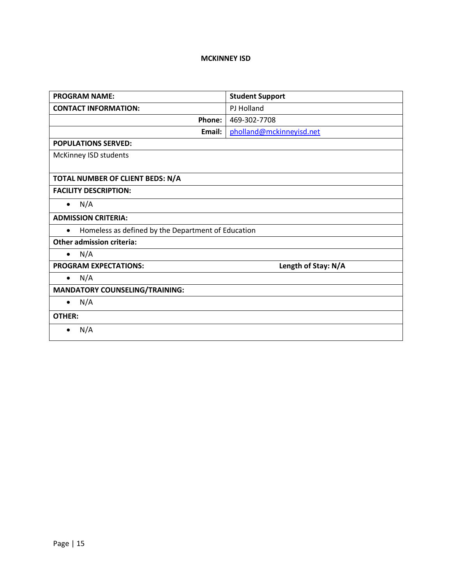## **MCKINNEY ISD**

| <b>PROGRAM NAME:</b>                                            | <b>Student Support</b>   |
|-----------------------------------------------------------------|--------------------------|
| <b>CONTACT INFORMATION:</b>                                     | PJ Holland               |
| Phone:                                                          | 469-302-7708             |
| Email:                                                          | pholland@mckinneyisd.net |
| <b>POPULATIONS SERVED:</b>                                      |                          |
| McKinney ISD students                                           |                          |
|                                                                 |                          |
| TOTAL NUMBER OF CLIENT BEDS: N/A                                |                          |
| <b>FACILITY DESCRIPTION:</b>                                    |                          |
| N/A<br>$\bullet$                                                |                          |
| <b>ADMISSION CRITERIA:</b>                                      |                          |
| Homeless as defined by the Department of Education<br>$\bullet$ |                          |
| <b>Other admission criteria:</b>                                |                          |
| N/A<br>$\bullet$                                                |                          |
| <b>PROGRAM EXPECTATIONS:</b>                                    | Length of Stay: N/A      |
| N/A<br>$\bullet$                                                |                          |
| <b>MANDATORY COUNSELING/TRAINING:</b>                           |                          |
| N/A<br>$\bullet$                                                |                          |
| <b>OTHER:</b>                                                   |                          |
| N/A                                                             |                          |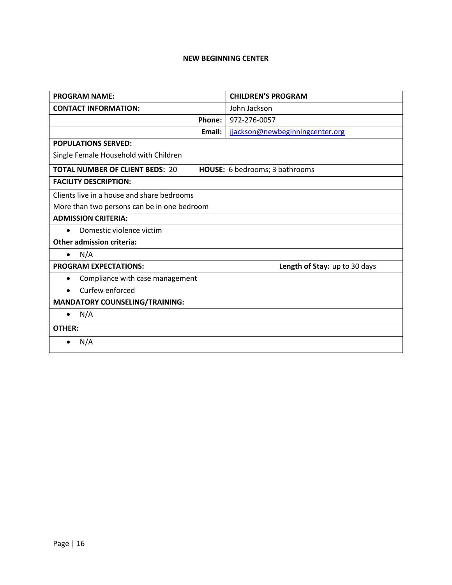#### **NEW BEGINNING CENTER**

| <b>PROGRAM NAME:</b>                         | <b>CHILDREN'S PROGRAM</b>       |
|----------------------------------------------|---------------------------------|
| <b>CONTACT INFORMATION:</b>                  | John Jackson                    |
| <b>Phone:</b>                                | 972-276-0057                    |
| Email:                                       | jjackson@newbeginningcenter.org |
| <b>POPULATIONS SERVED:</b>                   |                                 |
| Single Female Household with Children        |                                 |
| <b>TOTAL NUMBER OF CLIENT BEDS: 20</b>       | HOUSE: 6 bedrooms; 3 bathrooms  |
| <b>FACILITY DESCRIPTION:</b>                 |                                 |
| Clients live in a house and share bedrooms   |                                 |
| More than two persons can be in one bedroom  |                                 |
| <b>ADMISSION CRITERIA:</b>                   |                                 |
| Domestic violence victim<br>$\bullet$        |                                 |
| <b>Other admission criteria:</b>             |                                 |
| N/A<br>$\bullet$                             |                                 |
| <b>PROGRAM EXPECTATIONS:</b>                 | Length of Stay: up to 30 days   |
| Compliance with case management<br>$\bullet$ |                                 |
| Curfew enforced                              |                                 |
| <b>MANDATORY COUNSELING/TRAINING:</b>        |                                 |
| N/A<br>$\bullet$                             |                                 |
| <b>OTHER:</b>                                |                                 |
| N/A                                          |                                 |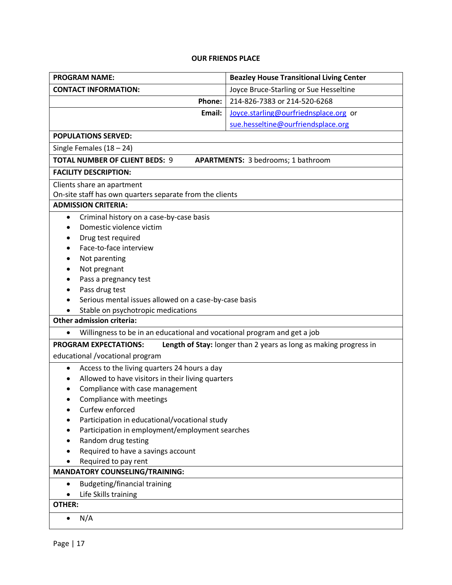## **OUR FRIENDS PLACE**

| <b>PROGRAM NAME:</b>                                                                  | <b>Beazley House Transitional Living Center</b>                   |
|---------------------------------------------------------------------------------------|-------------------------------------------------------------------|
| <b>CONTACT INFORMATION:</b>                                                           | Joyce Bruce-Starling or Sue Hesseltine                            |
| Phone:                                                                                | 214-826-7383 or 214-520-6268                                      |
| Email:                                                                                | Joyce.starling@ourfriednsplace.org or                             |
|                                                                                       | sue.hesseltine@ourfriendsplace.org                                |
| <b>POPULATIONS SERVED:</b>                                                            |                                                                   |
| Single Females $(18 – 24)$                                                            |                                                                   |
| <b>TOTAL NUMBER OF CLIENT BEDS: 9</b>                                                 | <b>APARTMENTS: 3 bedrooms; 1 bathroom</b>                         |
| <b>FACILITY DESCRIPTION:</b>                                                          |                                                                   |
| Clients share an apartment                                                            |                                                                   |
| On-site staff has own quarters separate from the clients                              |                                                                   |
| <b>ADMISSION CRITERIA:</b>                                                            |                                                                   |
| Criminal history on a case-by-case basis<br>٠                                         |                                                                   |
| Domestic violence victim                                                              |                                                                   |
| Drug test required                                                                    |                                                                   |
| Face-to-face interview                                                                |                                                                   |
| Not parenting                                                                         |                                                                   |
| Not pregnant                                                                          |                                                                   |
| Pass a pregnancy test                                                                 |                                                                   |
| Pass drug test                                                                        |                                                                   |
| Serious mental issues allowed on a case-by-case basis                                 |                                                                   |
| Stable on psychotropic medications                                                    |                                                                   |
| <b>Other admission criteria:</b>                                                      |                                                                   |
| Willingness to be in an educational and vocational program and get a job<br>$\bullet$ |                                                                   |
| <b>PROGRAM EXPECTATIONS:</b>                                                          | Length of Stay: longer than 2 years as long as making progress in |
| educational /vocational program                                                       |                                                                   |
| Access to the living quarters 24 hours a day<br>$\bullet$                             |                                                                   |
| Allowed to have visitors in their living quarters<br>$\bullet$                        |                                                                   |
| Compliance with case management                                                       |                                                                   |
| Compliance with meetings                                                              |                                                                   |
| Curfew enforced                                                                       |                                                                   |
| Participation in educational/vocational study                                         |                                                                   |
| Participation in employment/employment searches                                       |                                                                   |
| Random drug testing                                                                   |                                                                   |
| Required to have a savings account                                                    |                                                                   |
| Required to pay rent                                                                  |                                                                   |
| <b>MANDATORY COUNSELING/TRAINING:</b>                                                 |                                                                   |
| <b>Budgeting/financial training</b><br>$\bullet$                                      |                                                                   |
| Life Skills training<br>OTHER:                                                        |                                                                   |
|                                                                                       |                                                                   |
| N/A                                                                                   |                                                                   |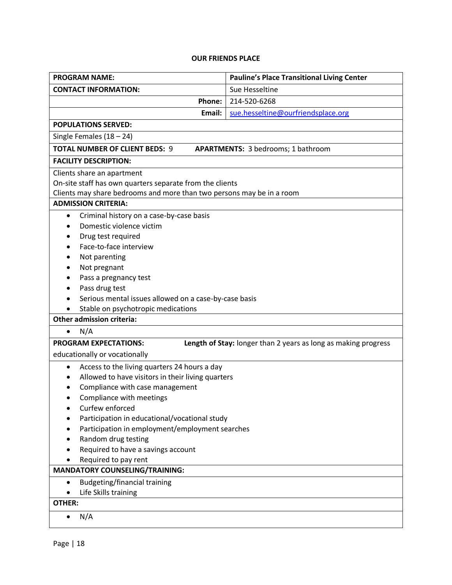## **OUR FRIENDS PLACE**

| <b>PROGRAM NAME:</b>                                                  | <b>Pauline's Place Transitional Living Center</b>              |
|-----------------------------------------------------------------------|----------------------------------------------------------------|
| <b>CONTACT INFORMATION:</b>                                           | Sue Hesseltine                                                 |
| Phone:                                                                | 214-520-6268                                                   |
| Email:                                                                | sue.hesseltine@ourfriendsplace.org                             |
| <b>POPULATIONS SERVED:</b>                                            |                                                                |
| Single Females $(18 – 24)$                                            |                                                                |
| <b>TOTAL NUMBER OF CLIENT BEDS: 9</b>                                 | <b>APARTMENTS: 3 bedrooms; 1 bathroom</b>                      |
| <b>FACILITY DESCRIPTION:</b>                                          |                                                                |
| Clients share an apartment                                            |                                                                |
| On-site staff has own quarters separate from the clients              |                                                                |
| Clients may share bedrooms and more than two persons may be in a room |                                                                |
| <b>ADMISSION CRITERIA:</b>                                            |                                                                |
| Criminal history on a case-by-case basis<br>$\bullet$                 |                                                                |
| Domestic violence victim                                              |                                                                |
| Drug test required                                                    |                                                                |
| Face-to-face interview                                                |                                                                |
| Not parenting                                                         |                                                                |
| Not pregnant                                                          |                                                                |
| Pass a pregnancy test                                                 |                                                                |
| Pass drug test                                                        |                                                                |
| Serious mental issues allowed on a case-by-case basis                 |                                                                |
| Stable on psychotropic medications                                    |                                                                |
| <b>Other admission criteria:</b>                                      |                                                                |
| N/A<br>$\bullet$                                                      |                                                                |
| <b>PROGRAM EXPECTATIONS:</b>                                          | Length of Stay: longer than 2 years as long as making progress |
| educationally or vocationally                                         |                                                                |
| Access to the living quarters 24 hours a day<br>$\bullet$             |                                                                |
| Allowed to have visitors in their living quarters                     |                                                                |
| Compliance with case management                                       |                                                                |
| Compliance with meetings                                              |                                                                |
| Curfew enforced                                                       |                                                                |
| Participation in educational/vocational study                         |                                                                |
| Participation in employment/employment searches                       |                                                                |
| Random drug testing                                                   |                                                                |
| Required to have a savings account                                    |                                                                |
| Required to pay rent                                                  |                                                                |
| <b>MANDATORY COUNSELING/TRAINING:</b>                                 |                                                                |
| Budgeting/financial training<br>$\bullet$                             |                                                                |
| Life Skills training<br><b>OTHER:</b>                                 |                                                                |
|                                                                       |                                                                |
| N/A<br>$\bullet$                                                      |                                                                |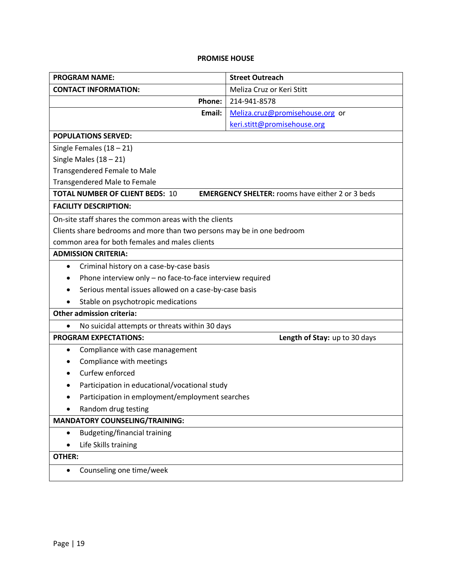## **PROMISE HOUSE**

| <b>PROGRAM NAME:</b>                                                   | <b>Street Outreach</b>                                  |
|------------------------------------------------------------------------|---------------------------------------------------------|
| <b>CONTACT INFORMATION:</b>                                            | Meliza Cruz or Keri Stitt                               |
| Phone:                                                                 | 214-941-8578                                            |
| Email:                                                                 | Meliza.cruz@promisehouse.org or                         |
|                                                                        | keri.stitt@promisehouse.org                             |
| <b>POPULATIONS SERVED:</b>                                             |                                                         |
| Single Females $(18 - 21)$                                             |                                                         |
| Single Males $(18 - 21)$                                               |                                                         |
| <b>Transgendered Female to Male</b>                                    |                                                         |
| <b>Transgendered Male to Female</b>                                    |                                                         |
| <b>TOTAL NUMBER OF CLIENT BEDS: 10</b>                                 | <b>EMERGENCY SHELTER: rooms have either 2 or 3 beds</b> |
| <b>FACILITY DESCRIPTION:</b>                                           |                                                         |
| On-site staff shares the common areas with the clients                 |                                                         |
| Clients share bedrooms and more than two persons may be in one bedroom |                                                         |
| common area for both females and males clients                         |                                                         |
| <b>ADMISSION CRITERIA:</b>                                             |                                                         |
| Criminal history on a case-by-case basis<br>$\bullet$                  |                                                         |
| Phone interview only - no face-to-face interview required              |                                                         |
| Serious mental issues allowed on a case-by-case basis                  |                                                         |
| Stable on psychotropic medications                                     |                                                         |
| <b>Other admission criteria:</b>                                       |                                                         |
| No suicidal attempts or threats within 30 days<br>٠                    |                                                         |
| <b>PROGRAM EXPECTATIONS:</b>                                           | Length of Stay: up to 30 days                           |
| Compliance with case management<br>$\bullet$                           |                                                         |
| Compliance with meetings<br>$\bullet$                                  |                                                         |
| Curfew enforced                                                        |                                                         |
| Participation in educational/vocational study                          |                                                         |
| Participation in employment/employment searches<br>٠                   |                                                         |
| Random drug testing                                                    |                                                         |
| <b>MANDATORY COUNSELING/TRAINING:</b>                                  |                                                         |
| <b>Budgeting/financial training</b><br>$\bullet$                       |                                                         |
| Life Skills training                                                   |                                                         |
| <b>OTHER:</b>                                                          |                                                         |
| Counseling one time/week                                               |                                                         |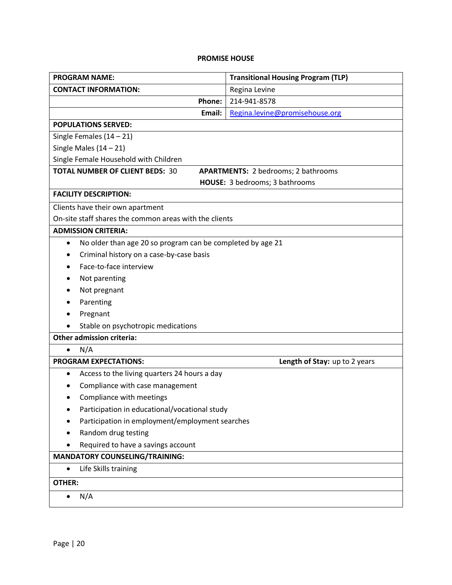## **PROMISE HOUSE**

| <b>PROGRAM NAME:</b>                                                                 | <b>Transitional Housing Program (TLP)</b> |
|--------------------------------------------------------------------------------------|-------------------------------------------|
| <b>CONTACT INFORMATION:</b>                                                          | Regina Levine                             |
| Phone:                                                                               | 214-941-8578                              |
| Email:                                                                               | Regina.levine@promisehouse.org            |
| <b>POPULATIONS SERVED:</b>                                                           |                                           |
| Single Females $(14 - 21)$                                                           |                                           |
| Single Males $(14 - 21)$                                                             |                                           |
| Single Female Household with Children                                                |                                           |
| <b>TOTAL NUMBER OF CLIENT BEDS: 30</b><br><b>APARTMENTS: 2 bedrooms; 2 bathrooms</b> |                                           |
|                                                                                      | HOUSE: 3 bedrooms; 3 bathrooms            |
| <b>FACILITY DESCRIPTION:</b>                                                         |                                           |
| Clients have their own apartment                                                     |                                           |
| On-site staff shares the common areas with the clients                               |                                           |
| <b>ADMISSION CRITERIA:</b>                                                           |                                           |
| No older than age 20 so program can be completed by age 21<br>$\bullet$              |                                           |
| Criminal history on a case-by-case basis<br>٠                                        |                                           |
| Face-to-face interview                                                               |                                           |
| Not parenting                                                                        |                                           |
| Not pregnant                                                                         |                                           |
| Parenting                                                                            |                                           |
| Pregnant                                                                             |                                           |
| Stable on psychotropic medications                                                   |                                           |
| <b>Other admission criteria:</b>                                                     |                                           |
| N/A                                                                                  |                                           |
| <b>PROGRAM EXPECTATIONS:</b>                                                         | Length of Stay: up to 2 years             |
| Access to the living quarters 24 hours a day<br>$\bullet$                            |                                           |
| Compliance with case management                                                      |                                           |
| Compliance with meetings                                                             |                                           |
| Participation in educational/vocational study                                        |                                           |
| Participation in employment/employment searches                                      |                                           |
| Random drug testing                                                                  |                                           |
| Required to have a savings account                                                   |                                           |
| <b>MANDATORY COUNSELING/TRAINING:</b>                                                |                                           |
| Life Skills training<br>$\bullet$                                                    |                                           |
| <b>OTHER:</b>                                                                        |                                           |
| N/A                                                                                  |                                           |
|                                                                                      |                                           |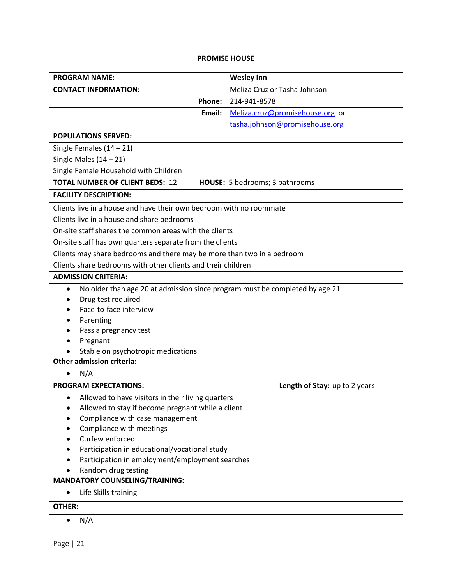## **PROMISE HOUSE**

| <b>PROGRAM NAME:</b>                                                                             | <b>Wesley Inn</b>               |
|--------------------------------------------------------------------------------------------------|---------------------------------|
| <b>CONTACT INFORMATION:</b>                                                                      | Meliza Cruz or Tasha Johnson    |
| Phone:                                                                                           | 214-941-8578                    |
| Email:                                                                                           | Meliza.cruz@promisehouse.org or |
|                                                                                                  | tasha.johnson@promisehouse.org  |
| <b>POPULATIONS SERVED:</b>                                                                       |                                 |
| Single Females $(14 - 21)$                                                                       |                                 |
| Single Males $(14 - 21)$                                                                         |                                 |
| Single Female Household with Children                                                            |                                 |
| <b>TOTAL NUMBER OF CLIENT BEDS: 12</b>                                                           | HOUSE: 5 bedrooms; 3 bathrooms  |
| <b>FACILITY DESCRIPTION:</b>                                                                     |                                 |
| Clients live in a house and have their own bedroom with no roommate                              |                                 |
| Clients live in a house and share bedrooms                                                       |                                 |
| On-site staff shares the common areas with the clients                                           |                                 |
| On-site staff has own quarters separate from the clients                                         |                                 |
| Clients may share bedrooms and there may be more than two in a bedroom                           |                                 |
| Clients share bedrooms with other clients and their children                                     |                                 |
| <b>ADMISSION CRITERIA:</b>                                                                       |                                 |
| No older than age 20 at admission since program must be completed by age 21<br>$\bullet$         |                                 |
| Drug test required                                                                               |                                 |
| Face-to-face interview                                                                           |                                 |
| Parenting                                                                                        |                                 |
| Pass a pregnancy test                                                                            |                                 |
| Pregnant                                                                                         |                                 |
| Stable on psychotropic medications                                                               |                                 |
| <b>Other admission criteria:</b>                                                                 |                                 |
| N/A<br>$\bullet$                                                                                 |                                 |
| <b>PROGRAM EXPECTATIONS:</b>                                                                     | Length of Stay: up to 2 years   |
| Allowed to have visitors in their living quarters<br>$\bullet$                                   |                                 |
| Allowed to stay if become pregnant while a client<br>٠                                           |                                 |
| Compliance with case management                                                                  |                                 |
| Compliance with meetings                                                                         |                                 |
| Curfew enforced                                                                                  |                                 |
| Participation in educational/vocational study<br>Participation in employment/employment searches |                                 |
| Random drug testing                                                                              |                                 |
| <b>MANDATORY COUNSELING/TRAINING:</b>                                                            |                                 |
| Life Skills training<br>$\bullet$                                                                |                                 |
| OTHER:                                                                                           |                                 |
|                                                                                                  |                                 |
| N/A<br>$\bullet$                                                                                 |                                 |